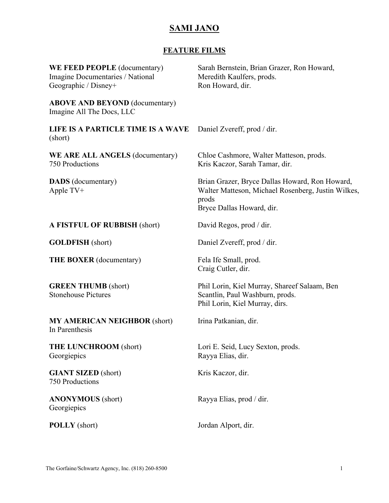# **SAMI JANO**

## **FEATURE FILMS**

| WE FEED PEOPLE (documentary)<br>Imagine Documentaries / National<br>Geographic / Disney+ | Sarah Bernstein, Brian Grazer, Ron Howard,<br>Meredith Kaulfers, prods.<br>Ron Howard, dir.                                                |
|------------------------------------------------------------------------------------------|--------------------------------------------------------------------------------------------------------------------------------------------|
| <b>ABOVE AND BEYOND</b> (documentary)<br>Imagine All The Docs, LLC                       |                                                                                                                                            |
| LIFE IS A PARTICLE TIME IS A WAVE<br>(short)                                             | Daniel Zvereff, prod / dir.                                                                                                                |
| WE ARE ALL ANGELS (documentary)<br>750 Productions                                       | Chloe Cashmore, Walter Matteson, prods.<br>Kris Kaczor, Sarah Tamar, dir.                                                                  |
| <b>DADS</b> (documentary)<br>Apple TV+                                                   | Brian Grazer, Bryce Dallas Howard, Ron Howard,<br>Walter Matteson, Michael Rosenberg, Justin Wilkes,<br>prods<br>Bryce Dallas Howard, dir. |
| A FISTFUL OF RUBBISH (short)                                                             | David Regos, prod / dir.                                                                                                                   |
| <b>GOLDFISH</b> (short)                                                                  | Daniel Zvereff, prod / dir.                                                                                                                |
| <b>THE BOXER</b> (documentary)                                                           | Fela Ife Small, prod.<br>Craig Cutler, dir.                                                                                                |
| <b>GREEN THUMB</b> (short)<br><b>Stonehouse Pictures</b>                                 | Phil Lorin, Kiel Murray, Shareef Salaam, Ben<br>Scantlin, Paul Washburn, prods.<br>Phil Lorin, Kiel Murray, dirs.                          |
| <b>MY AMERICAN NEIGHBOR (short)</b><br>In Parenthesis                                    | Irina Patkanian, dir.                                                                                                                      |
| <b>THE LUNCHROOM (short)</b><br>Georgiepics                                              | Lori E. Seid, Lucy Sexton, prods.<br>Rayya Elias, dir.                                                                                     |
| <b>GIANT SIZED</b> (short)<br><b>750 Productions</b>                                     | Kris Kaczor, dir.                                                                                                                          |
| <b>ANONYMOUS</b> (short)<br>Georgiepics                                                  | Rayya Elias, prod / dir.                                                                                                                   |
| <b>POLLY</b> (short)                                                                     | Jordan Alport, dir.                                                                                                                        |